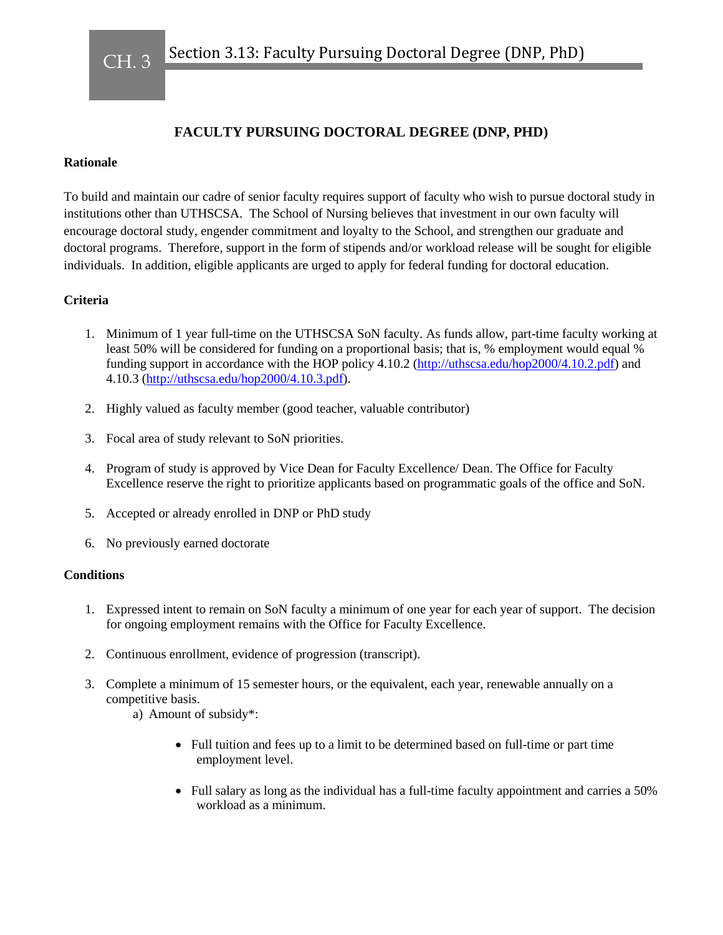CH. 3

## **FACULTY PURSUING DOCTORAL DEGREE (DNP, PHD)**

## **Rationale**

To build and maintain our cadre of senior faculty requires support of faculty who wish to pursue doctoral study in institutions other than UTHSCSA. The School of Nursing believes that investment in our own faculty will encourage doctoral study, engender commitment and loyalty to the School, and strengthen our graduate and doctoral programs. Therefore, support in the form of stipends and/or workload release will be sought for eligible individuals. In addition, eligible applicants are urged to apply for federal funding for doctoral education.

## **Criteria**

- 1. Minimum of 1 year full-time on the UTHSCSA SoN faculty. As funds allow, part-time faculty working at least 50% will be considered for funding on a proportional basis; that is, % employment would equal % funding support in accordance with the HOP policy 4.10.2 [\(http://uthscsa.edu/hop2000/4.10.2.pdf\)](http://uthscsa.edu/hop2000/4.10.2.pdf) and 4.10.3 [\(http://uthscsa.edu/hop2000/4.10.3.pdf\)](http://uthscsa.edu/hop2000/4.10.3.pdf).
- 2. Highly valued as faculty member (good teacher, valuable contributor)
- 3. Focal area of study relevant to SoN priorities.
- 4. Program of study is approved by Vice Dean for Faculty Excellence/ Dean. The Office for Faculty Excellence reserve the right to prioritize applicants based on programmatic goals of the office and SoN.
- 5. Accepted or already enrolled in DNP or PhD study
- 6. No previously earned doctorate

## **Conditions**

- 1. Expressed intent to remain on SoN faculty a minimum of one year for each year of support. The decision for ongoing employment remains with the Office for Faculty Excellence.
- 2. Continuous enrollment, evidence of progression (transcript).
- 3. Complete a minimum of 15 semester hours, or the equivalent, each year, renewable annually on a competitive basis.
	- a) Amount of subsidy\*:
		- Full tuition and fees up to a limit to be determined based on full-time or part time employment level.
		- Full salary as long as the individual has a full-time faculty appointment and carries a 50% workload as a minimum.